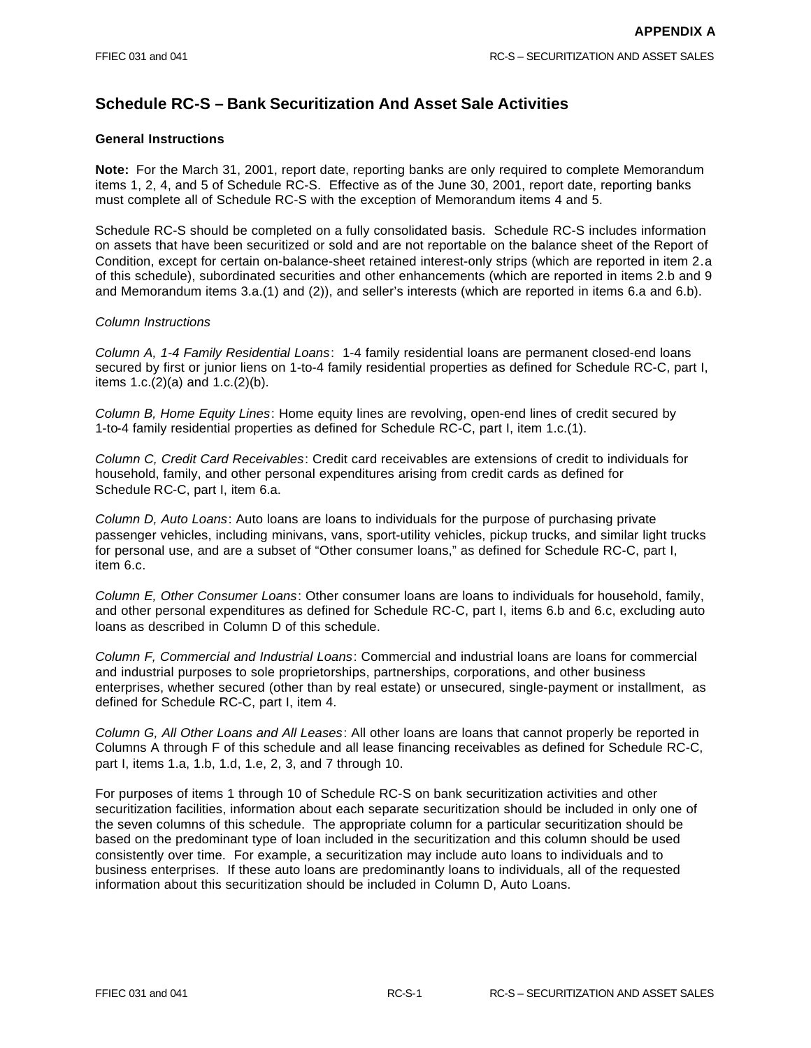# **Schedule RC-S – Bank Securitization And Asset Sale Activities**

## **General Instructions**

**Note:** For the March 31, 2001, report date, reporting banks are only required to complete Memorandum items 1, 2, 4, and 5 of Schedule RC-S. Effective as of the June 30, 2001, report date, reporting banks must complete all of Schedule RC-S with the exception of Memorandum items 4 and 5.

Schedule RC-S should be completed on a fully consolidated basis. Schedule RC-S includes information on assets that have been securitized or sold and are not reportable on the balance sheet of the Report of Condition, except for certain on-balance-sheet retained interest-only strips (which are reported in item 2.a of this schedule), subordinated securities and other enhancements (which are reported in items 2.b and 9 and Memorandum items 3.a.(1) and (2)), and seller's interests (which are reported in items 6.a and 6.b).

## *Column Instructions*

*Column A, 1-4 Family Residential Loans*: 1-4 family residential loans are permanent closed-end loans secured by first or junior liens on 1-to-4 family residential properties as defined for Schedule RC-C, part I, items 1.c.(2)(a) and 1.c.(2)(b).

*Column B, Home Equity Lines*: Home equity lines are revolving, open-end lines of credit secured by 1-to-4 family residential properties as defined for Schedule RC-C, part I, item 1.c.(1).

*Column C, Credit Card Receivables*: Credit card receivables are extensions of credit to individuals for household, family, and other personal expenditures arising from credit cards as defined for Schedule RC-C, part I, item 6.a.

*Column D, Auto Loans*: Auto loans are loans to individuals for the purpose of purchasing private passenger vehicles, including minivans, vans, sport-utility vehicles, pickup trucks, and similar light trucks for personal use, and are a subset of "Other consumer loans," as defined for Schedule RC-C, part I, item 6.c.

*Column E, Other Consumer Loans*: Other consumer loans are loans to individuals for household, family, and other personal expenditures as defined for Schedule RC-C, part I, items 6.b and 6.c, excluding auto loans as described in Column D of this schedule.

*Column F, Commercial and Industrial Loans*: Commercial and industrial loans are loans for commercial and industrial purposes to sole proprietorships, partnerships, corporations, and other business enterprises, whether secured (other than by real estate) or unsecured, single-payment or installment, as defined for Schedule RC-C, part I, item 4.

*Column G, All Other Loans and All Leases*: All other loans are loans that cannot properly be reported in Columns A through F of this schedule and all lease financing receivables as defined for Schedule RC-C, part I, items 1.a, 1.b, 1.d, 1.e, 2, 3, and 7 through 10.

For purposes of items 1 through 10 of Schedule RC-S on bank securitization activities and other securitization facilities, information about each separate securitization should be included in only one of the seven columns of this schedule. The appropriate column for a particular securitization should be based on the predominant type of loan included in the securitization and this column should be used consistently over time. For example, a securitization may include auto loans to individuals and to business enterprises. If these auto loans are predominantly loans to individuals, all of the requested information about this securitization should be included in Column D, Auto Loans.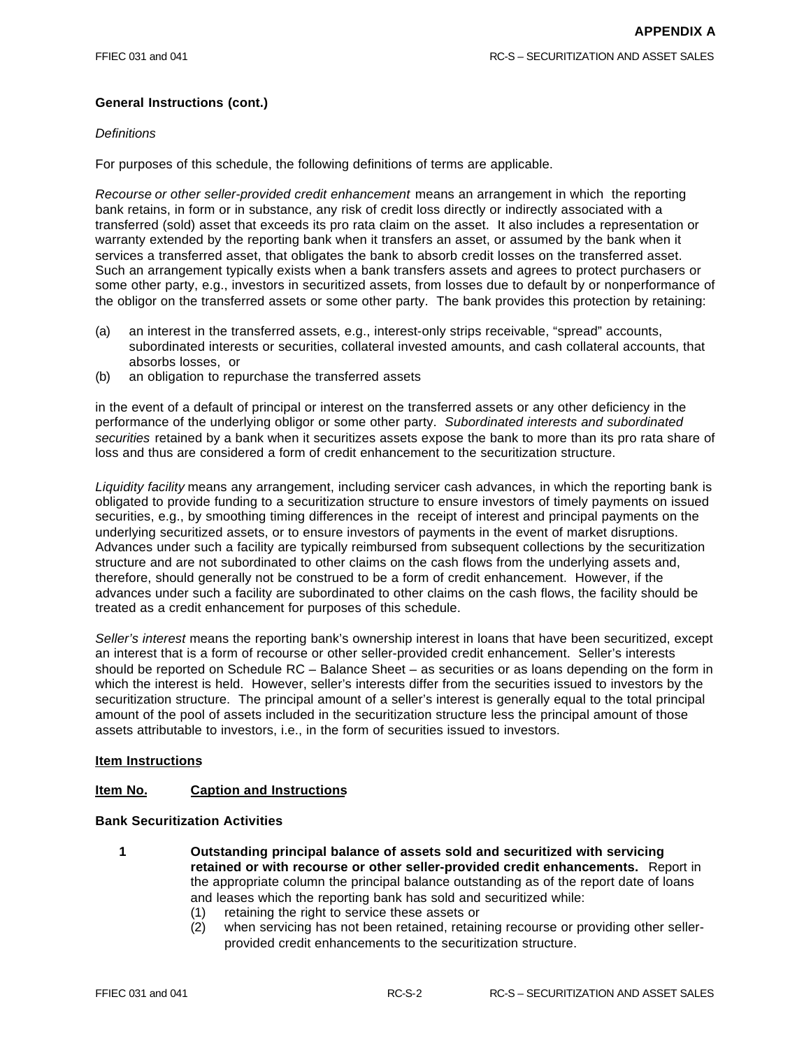# **General Instructions (cont.)**

## *Definitions*

For purposes of this schedule, the following definitions of terms are applicable.

*Recourse or other seller-provided credit enhancement* means an arrangement in which the reporting bank retains, in form or in substance, any risk of credit loss directly or indirectly associated with a transferred (sold) asset that exceeds its pro rata claim on the asset. It also includes a representation or warranty extended by the reporting bank when it transfers an asset, or assumed by the bank when it services a transferred asset, that obligates the bank to absorb credit losses on the transferred asset. Such an arrangement typically exists when a bank transfers assets and agrees to protect purchasers or some other party, e.g., investors in securitized assets, from losses due to default by or nonperformance of the obligor on the transferred assets or some other party. The bank provides this protection by retaining:

- (a) an interest in the transferred assets, e.g., interest-only strips receivable, "spread" accounts, subordinated interests or securities, collateral invested amounts, and cash collateral accounts, that absorbs losses, or
- (b) an obligation to repurchase the transferred assets

in the event of a default of principal or interest on the transferred assets or any other deficiency in the performance of the underlying obligor or some other party. *Subordinated interests and subordinated securities* retained by a bank when it securitizes assets expose the bank to more than its pro rata share of loss and thus are considered a form of credit enhancement to the securitization structure.

*Liquidity facility* means any arrangement, including servicer cash advances, in which the reporting bank is obligated to provide funding to a securitization structure to ensure investors of timely payments on issued securities, e.g., by smoothing timing differences in the receipt of interest and principal payments on the underlying securitized assets, or to ensure investors of payments in the event of market disruptions. Advances under such a facility are typically reimbursed from subsequent collections by the securitization structure and are not subordinated to other claims on the cash flows from the underlying assets and, therefore, should generally not be construed to be a form of credit enhancement. However, if the advances under such a facility are subordinated to other claims on the cash flows, the facility should be treated as a credit enhancement for purposes of this schedule.

*Seller's interest* means the reporting bank's ownership interest in loans that have been securitized, except an interest that is a form of recourse or other seller-provided credit enhancement. Seller's interests should be reported on Schedule RC – Balance Sheet – as securities or as loans depending on the form in which the interest is held. However, seller's interests differ from the securities issued to investors by the securitization structure. The principal amount of a seller's interest is generally equal to the total principal amount of the pool of assets included in the securitization structure less the principal amount of those assets attributable to investors, i.e., in the form of securities issued to investors.

## **Item Instructions**

## **Item No. Caption and Instructions**

#### **Bank Securitization Activities**

- **1 Outstanding principal balance of assets sold and securitized with servicing retained or with recourse or other seller-provided credit enhancements.** Report in the appropriate column the principal balance outstanding as of the report date of loans and leases which the reporting bank has sold and securitized while:
	- (1) retaining the right to service these assets or
	- (2) when servicing has not been retained, retaining recourse or providing other sellerprovided credit enhancements to the securitization structure.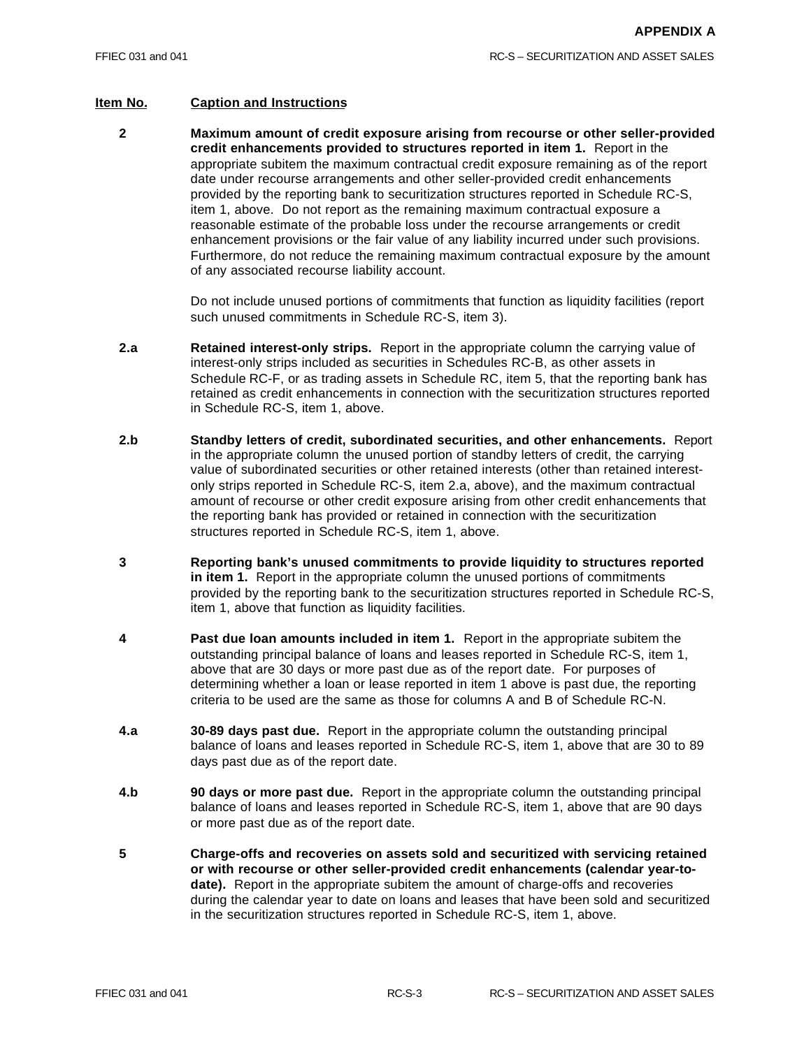## **Item No. Caption and Instructions**

**2 Maximum amount of credit exposure arising from recourse or other seller-provided credit enhancements provided to structures reported in item 1.** Report in the appropriate subitem the maximum contractual credit exposure remaining as of the report date under recourse arrangements and other seller-provided credit enhancements provided by the reporting bank to securitization structures reported in Schedule RC-S, item 1, above. Do not report as the remaining maximum contractual exposure a reasonable estimate of the probable loss under the recourse arrangements or credit enhancement provisions or the fair value of any liability incurred under such provisions. Furthermore, do not reduce the remaining maximum contractual exposure by the amount of any associated recourse liability account.

> Do not include unused portions of commitments that function as liquidity facilities (report such unused commitments in Schedule RC-S, item 3).

- **2.a Retained interest-only strips.** Report in the appropriate column the carrying value of interest-only strips included as securities in Schedules RC-B, as other assets in Schedule RC-F, or as trading assets in Schedule RC, item 5, that the reporting bank has retained as credit enhancements in connection with the securitization structures reported in Schedule RC-S, item 1, above.
- **2.b Standby letters of credit, subordinated securities, and other enhancements.** Report in the appropriate column the unused portion of standby letters of credit, the carrying value of subordinated securities or other retained interests (other than retained interestonly strips reported in Schedule RC-S, item 2.a, above), and the maximum contractual amount of recourse or other credit exposure arising from other credit enhancements that the reporting bank has provided or retained in connection with the securitization structures reported in Schedule RC-S, item 1, above.
- **3 Reporting bank's unused commitments to provide liquidity to structures reported in item 1.** Report in the appropriate column the unused portions of commitments provided by the reporting bank to the securitization structures reported in Schedule RC-S, item 1, above that function as liquidity facilities.
- **4 Past due loan amounts included in item 1.** Report in the appropriate subitem the outstanding principal balance of loans and leases reported in Schedule RC-S, item 1, above that are 30 days or more past due as of the report date. For purposes of determining whether a loan or lease reported in item 1 above is past due, the reporting criteria to be used are the same as those for columns A and B of Schedule RC-N.
- **4.a 30-89 days past due.** Report in the appropriate column the outstanding principal balance of loans and leases reported in Schedule RC-S, item 1, above that are 30 to 89 days past due as of the report date.
- **4.b 90 days or more past due.** Report in the appropriate column the outstanding principal balance of loans and leases reported in Schedule RC-S, item 1, above that are 90 days or more past due as of the report date.
- **5 Charge-offs and recoveries on assets sold and securitized with servicing retained or with recourse or other seller-provided credit enhancements (calendar year-todate).** Report in the appropriate subitem the amount of charge-offs and recoveries during the calendar year to date on loans and leases that have been sold and securitized in the securitization structures reported in Schedule RC-S, item 1, above.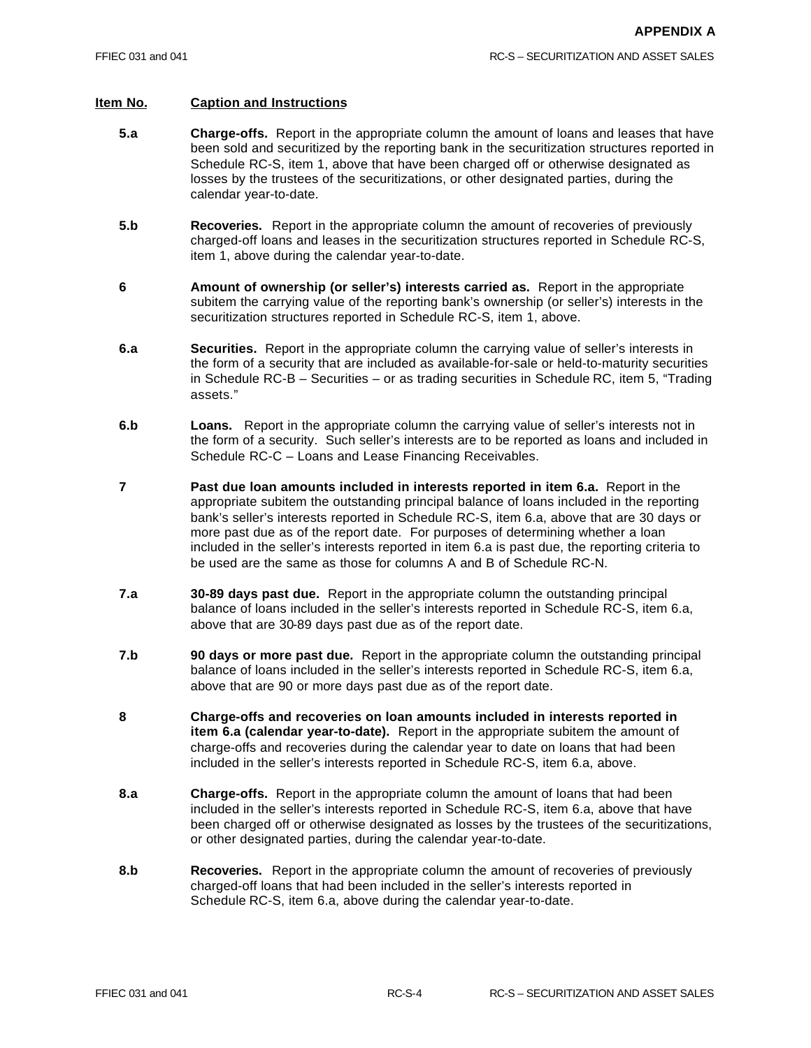- **5.a Charge-offs.** Report in the appropriate column the amount of loans and leases that have been sold and securitized by the reporting bank in the securitization structures reported in Schedule RC-S, item 1, above that have been charged off or otherwise designated as losses by the trustees of the securitizations, or other designated parties, during the calendar year-to-date.
- **5.b Recoveries.** Report in the appropriate column the amount of recoveries of previously charged-off loans and leases in the securitization structures reported in Schedule RC-S, item 1, above during the calendar year-to-date.
- **6 Amount of ownership (or seller's) interests carried as.** Report in the appropriate subitem the carrying value of the reporting bank's ownership (or seller's) interests in the securitization structures reported in Schedule RC-S, item 1, above.
- **6.a Securities.** Report in the appropriate column the carrying value of seller's interests in the form of a security that are included as available-for-sale or held-to-maturity securities in Schedule RC-B – Securities – or as trading securities in Schedule RC, item 5, "Trading assets."
- **6.b Loans.** Report in the appropriate column the carrying value of seller's interests not in the form of a security. Such seller's interests are to be reported as loans and included in Schedule RC-C – Loans and Lease Financing Receivables.
- **7 Past due loan amounts included in interests reported in item 6.a.** Report in the appropriate subitem the outstanding principal balance of loans included in the reporting bank's seller's interests reported in Schedule RC-S, item 6.a, above that are 30 days or more past due as of the report date. For purposes of determining whether a loan included in the seller's interests reported in item 6.a is past due, the reporting criteria to be used are the same as those for columns A and B of Schedule RC-N.
- **7.a 30-89 days past due.** Report in the appropriate column the outstanding principal balance of loans included in the seller's interests reported in Schedule RC-S, item 6.a, above that are 30-89 days past due as of the report date.
- **7.b 90 days or more past due.** Report in the appropriate column the outstanding principal balance of loans included in the seller's interests reported in Schedule RC-S, item 6.a, above that are 90 or more days past due as of the report date.
- **8 Charge-offs and recoveries on loan amounts included in interests reported in item 6.a (calendar year-to-date).** Report in the appropriate subitem the amount of charge-offs and recoveries during the calendar year to date on loans that had been included in the seller's interests reported in Schedule RC-S, item 6.a, above.
- **8.a Charge-offs.** Report in the appropriate column the amount of loans that had been included in the seller's interests reported in Schedule RC-S, item 6.a, above that have been charged off or otherwise designated as losses by the trustees of the securitizations, or other designated parties, during the calendar year-to-date.
- **8.b Recoveries.** Report in the appropriate column the amount of recoveries of previously charged-off loans that had been included in the seller's interests reported in Schedule RC-S, item 6.a, above during the calendar year-to-date.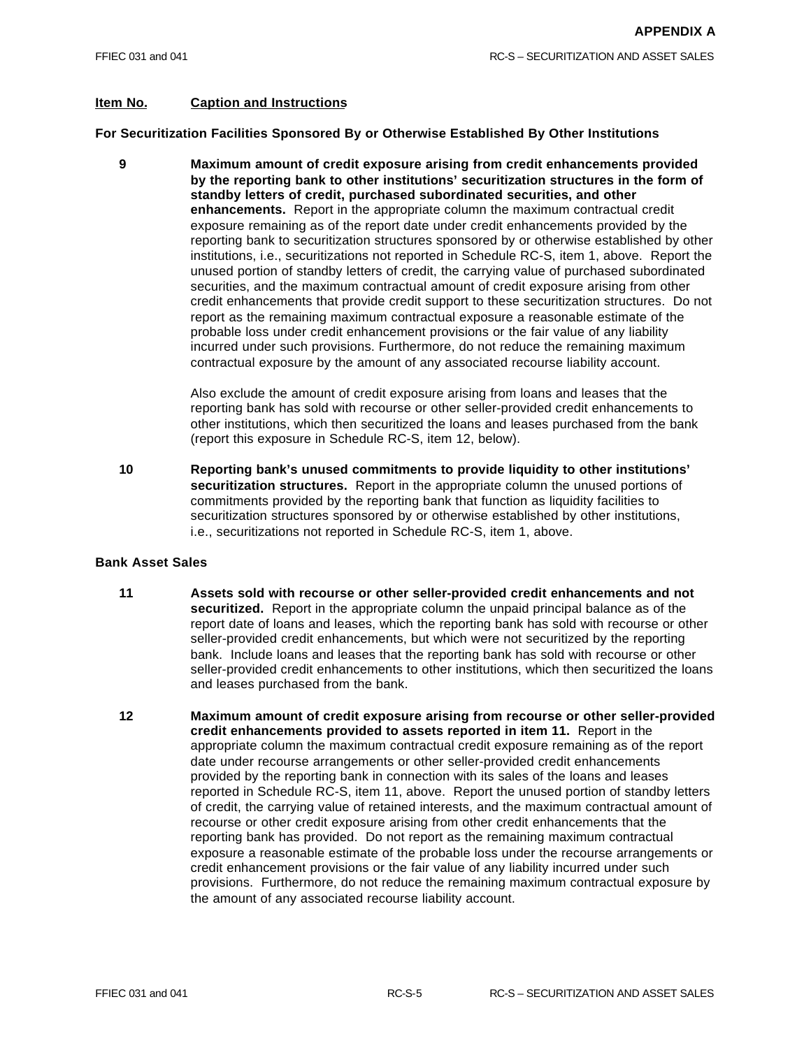## **Item No. Caption and Instructions**

**For Securitization Facilities Sponsored By or Otherwise Established By Other Institutions**

**9 Maximum amount of credit exposure arising from credit enhancements provided by the reporting bank to other institutions' securitization structures in the form of standby letters of credit, purchased subordinated securities, and other enhancements.** Report in the appropriate column the maximum contractual credit exposure remaining as of the report date under credit enhancements provided by the reporting bank to securitization structures sponsored by or otherwise established by other institutions, i.e., securitizations not reported in Schedule RC-S, item 1, above. Report the unused portion of standby letters of credit, the carrying value of purchased subordinated securities, and the maximum contractual amount of credit exposure arising from other credit enhancements that provide credit support to these securitization structures. Do not report as the remaining maximum contractual exposure a reasonable estimate of the probable loss under credit enhancement provisions or the fair value of any liability incurred under such provisions. Furthermore, do not reduce the remaining maximum contractual exposure by the amount of any associated recourse liability account.

> Also exclude the amount of credit exposure arising from loans and leases that the reporting bank has sold with recourse or other seller-provided credit enhancements to other institutions, which then securitized the loans and leases purchased from the bank (report this exposure in Schedule RC-S, item 12, below).

**10 Reporting bank's unused commitments to provide liquidity to other institutions' securitization structures.** Report in the appropriate column the unused portions of commitments provided by the reporting bank that function as liquidity facilities to securitization structures sponsored by or otherwise established by other institutions, i.e., securitizations not reported in Schedule RC-S, item 1, above.

#### **Bank Asset Sales**

- **11 Assets sold with recourse or other seller-provided credit enhancements and not securitized.** Report in the appropriate column the unpaid principal balance as of the report date of loans and leases, which the reporting bank has sold with recourse or other seller-provided credit enhancements, but which were not securitized by the reporting bank. Include loans and leases that the reporting bank has sold with recourse or other seller-provided credit enhancements to other institutions, which then securitized the loans and leases purchased from the bank.
- **12 Maximum amount of credit exposure arising from recourse or other seller-provided credit enhancements provided to assets reported in item 11.** Report in the appropriate column the maximum contractual credit exposure remaining as of the report date under recourse arrangements or other seller-provided credit enhancements provided by the reporting bank in connection with its sales of the loans and leases reported in Schedule RC-S, item 11, above. Report the unused portion of standby letters of credit, the carrying value of retained interests, and the maximum contractual amount of recourse or other credit exposure arising from other credit enhancements that the reporting bank has provided. Do not report as the remaining maximum contractual exposure a reasonable estimate of the probable loss under the recourse arrangements or credit enhancement provisions or the fair value of any liability incurred under such provisions. Furthermore, do not reduce the remaining maximum contractual exposure by the amount of any associated recourse liability account.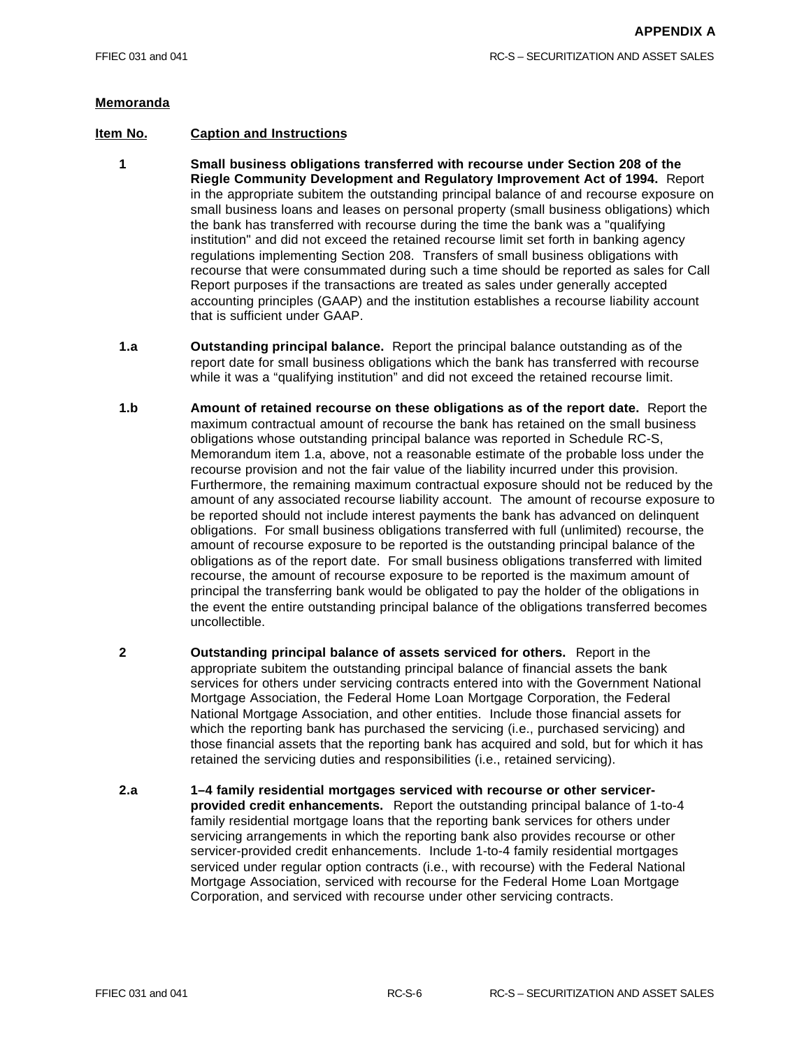- **1 Small business obligations transferred with recourse under Section 208 of the Riegle Community Development and Regulatory Improvement Act of 1994.** Report in the appropriate subitem the outstanding principal balance of and recourse exposure on small business loans and leases on personal property (small business obligations) which the bank has transferred with recourse during the time the bank was a "qualifying institution" and did not exceed the retained recourse limit set forth in banking agency regulations implementing Section 208. Transfers of small business obligations with recourse that were consummated during such a time should be reported as sales for Call Report purposes if the transactions are treated as sales under generally accepted accounting principles (GAAP) and the institution establishes a recourse liability account that is sufficient under GAAP.
- **1.a Outstanding principal balance.** Report the principal balance outstanding as of the report date for small business obligations which the bank has transferred with recourse while it was a "qualifying institution" and did not exceed the retained recourse limit.
- **1.b Amount of retained recourse on these obligations as of the report date.** Report the maximum contractual amount of recourse the bank has retained on the small business obligations whose outstanding principal balance was reported in Schedule RC-S, Memorandum item 1.a, above, not a reasonable estimate of the probable loss under the recourse provision and not the fair value of the liability incurred under this provision. Furthermore, the remaining maximum contractual exposure should not be reduced by the amount of any associated recourse liability account. The amount of recourse exposure to be reported should not include interest payments the bank has advanced on delinquent obligations. For small business obligations transferred with full (unlimited) recourse, the amount of recourse exposure to be reported is the outstanding principal balance of the obligations as of the report date. For small business obligations transferred with limited recourse, the amount of recourse exposure to be reported is the maximum amount of principal the transferring bank would be obligated to pay the holder of the obligations in the event the entire outstanding principal balance of the obligations transferred becomes uncollectible.
- **2 Outstanding principal balance of assets serviced for others.** Report in the appropriate subitem the outstanding principal balance of financial assets the bank services for others under servicing contracts entered into with the Government National Mortgage Association, the Federal Home Loan Mortgage Corporation, the Federal National Mortgage Association, and other entities. Include those financial assets for which the reporting bank has purchased the servicing (i.e., purchased servicing) and those financial assets that the reporting bank has acquired and sold, but for which it has retained the servicing duties and responsibilities (i.e., retained servicing).
- **2.a 1–4 family residential mortgages serviced with recourse or other servicerprovided credit enhancements.** Report the outstanding principal balance of 1-to-4 family residential mortgage loans that the reporting bank services for others under servicing arrangements in which the reporting bank also provides recourse or other servicer-provided credit enhancements. Include 1-to-4 family residential mortgages serviced under regular option contracts (i.e., with recourse) with the Federal National Mortgage Association, serviced with recourse for the Federal Home Loan Mortgage Corporation, and serviced with recourse under other servicing contracts.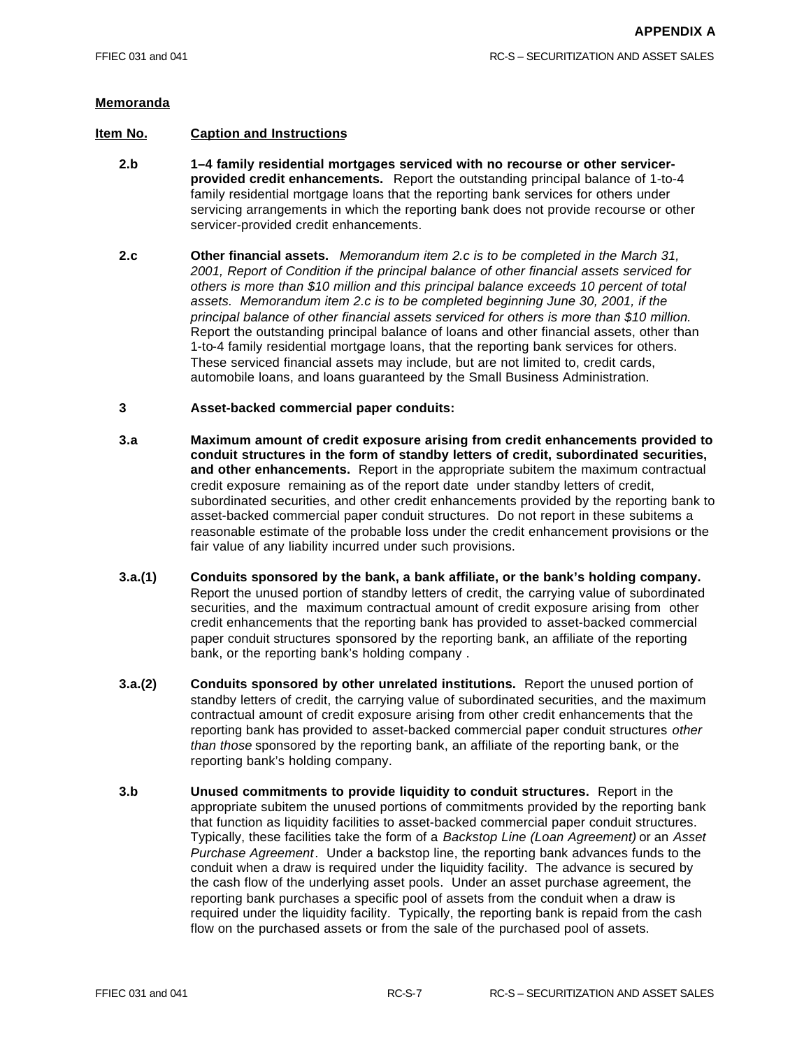- **2.b 1–4 family residential mortgages serviced with no recourse or other servicerprovided credit enhancements.** Report the outstanding principal balance of 1-to-4 family residential mortgage loans that the reporting bank services for others under servicing arrangements in which the reporting bank does not provide recourse or other servicer-provided credit enhancements.
- **2.c Other financial assets.** *Memorandum item 2.c is to be completed in the March 31, 2001, Report of Condition if the principal balance of other financial assets serviced for others is more than \$10 million and this principal balance exceeds 10 percent of total assets. Memorandum item 2.c is to be completed beginning June 30, 2001, if the principal balance of other financial assets serviced for others is more than \$10 million.* Report the outstanding principal balance of loans and other financial assets, other than 1-to-4 family residential mortgage loans, that the reporting bank services for others. These serviced financial assets may include, but are not limited to, credit cards, automobile loans, and loans guaranteed by the Small Business Administration.
- **3 Asset-backed commercial paper conduits:**
- **3.a Maximum amount of credit exposure arising from credit enhancements provided to conduit structures in the form of standby letters of credit, subordinated securities, and other enhancements.** Report in the appropriate subitem the maximum contractual credit exposure remaining as of the report date under standby letters of credit, subordinated securities, and other credit enhancements provided by the reporting bank to asset-backed commercial paper conduit structures. Do not report in these subitems a reasonable estimate of the probable loss under the credit enhancement provisions or the fair value of any liability incurred under such provisions.
- **3.a.(1) Conduits sponsored by the bank, a bank affiliate, or the bank's holding company.** Report the unused portion of standby letters of credit, the carrying value of subordinated securities, and the maximum contractual amount of credit exposure arising from other credit enhancements that the reporting bank has provided to asset-backed commercial paper conduit structures sponsored by the reporting bank, an affiliate of the reporting bank, or the reporting bank's holding company .
- **3.a.(2) Conduits sponsored by other unrelated institutions.** Report the unused portion of standby letters of credit, the carrying value of subordinated securities, and the maximum contractual amount of credit exposure arising from other credit enhancements that the reporting bank has provided to asset-backed commercial paper conduit structures *other than those* sponsored by the reporting bank, an affiliate of the reporting bank, or the reporting bank's holding company.
- **3.b Unused commitments to provide liquidity to conduit structures.** Report in the appropriate subitem the unused portions of commitments provided by the reporting bank that function as liquidity facilities to asset-backed commercial paper conduit structures. Typically, these facilities take the form of a *Backstop Line (Loan Agreement)* or an *Asset Purchase Agreement*. Under a backstop line, the reporting bank advances funds to the conduit when a draw is required under the liquidity facility. The advance is secured by the cash flow of the underlying asset pools. Under an asset purchase agreement, the reporting bank purchases a specific pool of assets from the conduit when a draw is required under the liquidity facility. Typically, the reporting bank is repaid from the cash flow on the purchased assets or from the sale of the purchased pool of assets.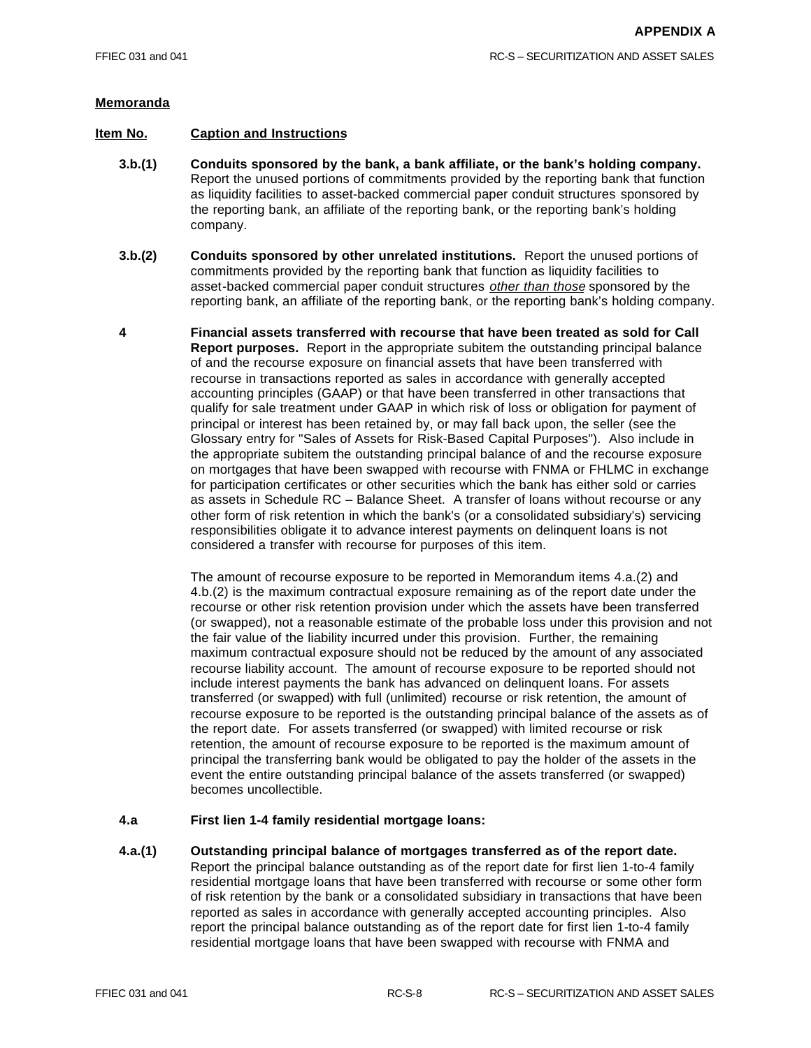## **Item No. Caption and Instructions**

- **3.b.(1) Conduits sponsored by the bank, a bank affiliate, or the bank's holding company.** Report the unused portions of commitments provided by the reporting bank that function as liquidity facilities to asset-backed commercial paper conduit structures sponsored by the reporting bank, an affiliate of the reporting bank, or the reporting bank's holding company.
- **3.b.(2) Conduits sponsored by other unrelated institutions.** Report the unused portions of commitments provided by the reporting bank that function as liquidity facilities to asset-backed commercial paper conduit structures *other than those* sponsored by the reporting bank, an affiliate of the reporting bank, or the reporting bank's holding company.
- **4 Financial assets transferred with recourse that have been treated as sold for Call Report purposes.** Report in the appropriate subitem the outstanding principal balance of and the recourse exposure on financial assets that have been transferred with recourse in transactions reported as sales in accordance with generally accepted accounting principles (GAAP) or that have been transferred in other transactions that qualify for sale treatment under GAAP in which risk of loss or obligation for payment of principal or interest has been retained by, or may fall back upon, the seller (see the Glossary entry for "Sales of Assets for Risk-Based Capital Purposes"). Also include in the appropriate subitem the outstanding principal balance of and the recourse exposure on mortgages that have been swapped with recourse with FNMA or FHLMC in exchange for participation certificates or other securities which the bank has either sold or carries as assets in Schedule RC – Balance Sheet. A transfer of loans without recourse or any other form of risk retention in which the bank's (or a consolidated subsidiary's) servicing responsibilities obligate it to advance interest payments on delinquent loans is not considered a transfer with recourse for purposes of this item.

The amount of recourse exposure to be reported in Memorandum items 4.a.(2) and 4.b.(2) is the maximum contractual exposure remaining as of the report date under the recourse or other risk retention provision under which the assets have been transferred (or swapped), not a reasonable estimate of the probable loss under this provision and not the fair value of the liability incurred under this provision. Further, the remaining maximum contractual exposure should not be reduced by the amount of any associated recourse liability account. The amount of recourse exposure to be reported should not include interest payments the bank has advanced on delinquent loans. For assets transferred (or swapped) with full (unlimited) recourse or risk retention, the amount of recourse exposure to be reported is the outstanding principal balance of the assets as of the report date. For assets transferred (or swapped) with limited recourse or risk retention, the amount of recourse exposure to be reported is the maximum amount of principal the transferring bank would be obligated to pay the holder of the assets in the event the entire outstanding principal balance of the assets transferred (or swapped) becomes uncollectible.

#### **4.a First lien 1-4 family residential mortgage loans:**

**4.a.(1) Outstanding principal balance of mortgages transferred as of the report date.** Report the principal balance outstanding as of the report date for first lien 1-to-4 family residential mortgage loans that have been transferred with recourse or some other form of risk retention by the bank or a consolidated subsidiary in transactions that have been reported as sales in accordance with generally accepted accounting principles. Also report the principal balance outstanding as of the report date for first lien 1-to-4 family residential mortgage loans that have been swapped with recourse with FNMA and